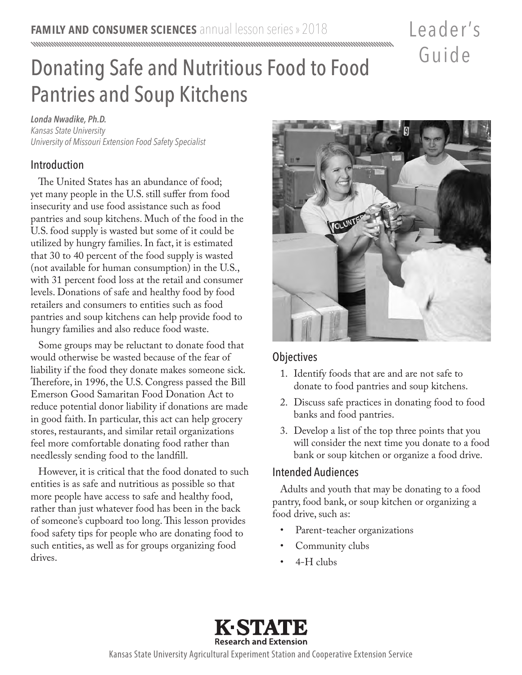## Leader 's Guide

# Donating Safe and Nutritious Food to Food Pantries and Soup Kitchens

*Londa Nwadike, Ph.D. Kansas State University University of Missouri Extension Food Safety Specialist* 

#### Introduction

The United States has an abundance of food; yet many people in the U.S. still suffer from food insecurity and use food assistance such as food pantries and soup kitchens. Much of the food in the U.S. food supply is wasted but some of it could be utilized by hungry families. In fact, it is estimated that 30 to 40 percent of the food supply is wasted (not available for human consumption) in the U.S., with 31 percent food loss at the retail and consumer levels. Donations of safe and healthy food by food retailers and consumers to entities such as food pantries and soup kitchens can help provide food to hungry families and also reduce food waste.

Some groups may be reluctant to donate food that would otherwise be wasted because of the fear of liability if the food they donate makes someone sick. Therefore, in 1996, the U.S. Congress passed the Bill Emerson Good Samaritan Food Donation Act to reduce potential donor liability if donations are made in good faith. In particular, this act can help grocery stores, restaurants, and similar retail organizations feel more comfortable donating food rather than needlessly sending food to the landfill.

However, it is critical that the food donated to such entities is as safe and nutritious as possible so that more people have access to safe and healthy food, rather than just whatever food has been in the back of someone's cupboard too long. This lesson provides food safety tips for people who are donating food to such entities, as well as for groups organizing food drives.



#### **Objectives**

- 1. Identify foods that are and are not safe to donate to food pantries and soup kitchens.
- 2. Discuss safe practices in donating food to food banks and food pantries.
- 3. Develop a list of the top three points that you will consider the next time you donate to a food bank or soup kitchen or organize a food drive.

#### Intended Audiences

Adults and youth that may be donating to a food pantry, food bank, or soup kitchen or organizing a food drive, such as:

- Parent-teacher organizations
- Community clubs
- 4-H clubs



Kansas State University Agricultural Experiment Station and Cooperative Extension Service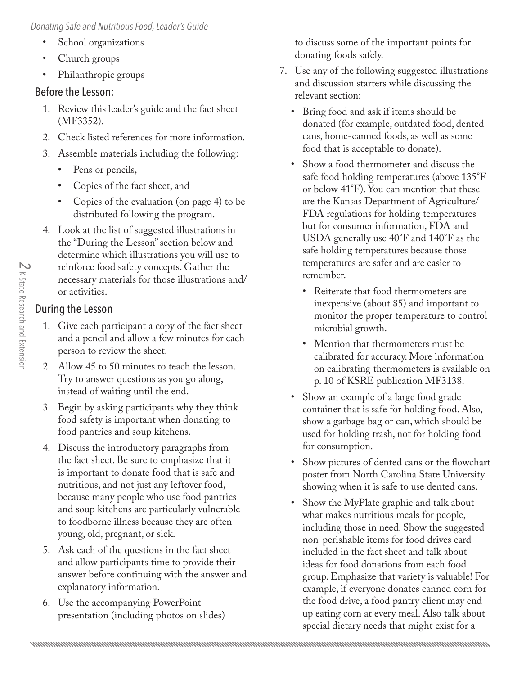*Donating Safe and Nutritious Food, Leader's Guide*

- School organizations
- Church groups
- Philanthropic groups

#### Before the Lesson:

- 1. Review this leader's guide and the fact sheet (MF3352).
- 2. Check listed references for more information.
- 3. Assemble materials including the following:
	- Pens or pencils,
	- Copies of the fact sheet, and
	- Copies of the evaluation (on page 4) to be distributed following the program.
- 4. Look at the list of suggested illustrations in the "During the Lesson" section below and determine which illustrations you will use to reinforce food safety concepts. Gather the necessary materials for those illustrations and/ or activities.

### During the Lesson

- 1. Give each participant a copy of the fact sheet and a pencil and allow a few minutes for each person to review the sheet.
- 2. Allow 45 to 50 minutes to teach the lesson. Try to answer questions as you go along, instead of waiting until the end.
- 3. Begin by asking participants why they think food safety is important when donating to food pantries and soup kitchens.
- 4. Discuss the introductory paragraphs from the fact sheet. Be sure to emphasize that it is important to donate food that is safe and nutritious, and not just any leftover food, because many people who use food pantries and soup kitchens are particularly vulnerable to foodborne illness because they are often young, old, pregnant, or sick.
- 5. Ask each of the questions in the fact sheet and allow participants time to provide their answer before continuing with the answer and explanatory information.
- 6. Use the accompanying PowerPoint presentation (including photos on slides)

to discuss some of the important points for donating foods safely.

- 7. Use any of the following suggested illustrations and discussion starters while discussing the relevant section:
	- Bring food and ask if items should be donated (for example, outdated food, dented cans, home-canned foods, as well as some food that is acceptable to donate).
	- Show a food thermometer and discuss the safe food holding temperatures (above 135°F or below 41°F). You can mention that these are the Kansas Department of Agriculture/ FDA regulations for holding temperatures but for consumer information, FDA and USDA generally use 40°F and 140°F as the safe holding temperatures because those temperatures are safer and are easier to remember.
		- Reiterate that food thermometers are inexpensive (about \$5) and important to monitor the proper temperature to control microbial growth.
		- Mention that thermometers must be calibrated for accuracy. More information on calibrating thermometers is available on p. 10 of KSRE publication MF3138.
	- Show an example of a large food grade container that is safe for holding food. Also, show a garbage bag or can, which should be used for holding trash, not for holding food for consumption.
	- Show pictures of dented cans or the flowchart poster from North Carolina State University showing when it is safe to use dented cans.
	- Show the MyPlate graphic and talk about what makes nutritious meals for people, including those in need. Show the suggested non-perishable items for food drives card included in the fact sheet and talk about ideas for food donations from each food group. Emphasize that variety is valuable! For example, if everyone donates canned corn for the food drive, a food pantry client may end up eating corn at every meal. Also talk about special dietary needs that might exist for a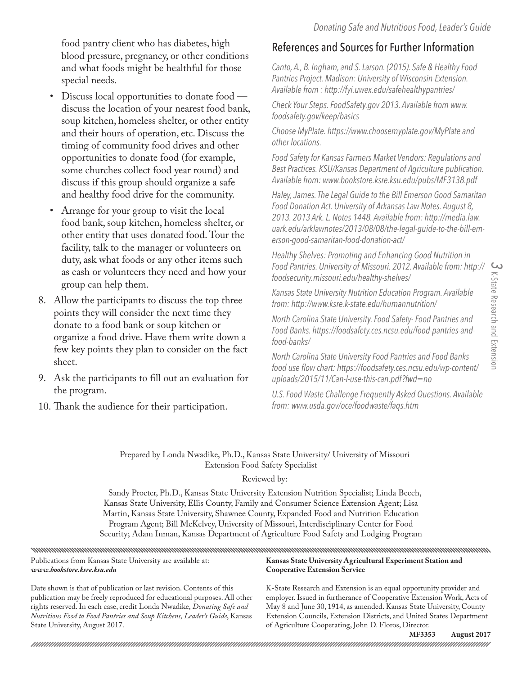food pantry client who has diabetes, high blood pressure, pregnancy, or other conditions and what foods might be healthful for those special needs.

- Discuss local opportunities to donate food discuss the location of your nearest food bank, soup kitchen, homeless shelter, or other entity and their hours of operation, etc. Discuss the timing of community food drives and other opportunities to donate food (for example, some churches collect food year round) and discuss if this group should organize a safe and healthy food drive for the community.
- Arrange for your group to visit the local food bank, soup kitchen, homeless shelter, or other entity that uses donated food. Tour the facility, talk to the manager or volunteers on duty, ask what foods or any other items such as cash or volunteers they need and how your group can help them.
- 8. Allow the participants to discuss the top three points they will consider the next time they donate to a food bank or soup kitchen or organize a food drive. Have them write down a few key points they plan to consider on the fact sheet.
- 9. Ask the participants to fill out an evaluation for the program.
- 10. Thank the audience for their participation.

### References and Sources for Further Information

*Canto, A., B. Ingham, and S. Larson. (2015). Safe & Healthy Food Pantries Project. Madison: University of Wisconsin-Extension. Available from : http://fyi.uwex.edu/safehealthypantries/* 

*Check Your Steps. FoodSafety.gov 2013. Available from www. foodsafety.gov/keep/basics*

*Choose MyPlate. https://www.choosemyplate.gov/MyPlate and other locations.*

*Food Safety for Kansas Farmers Market Vendors: Regulations and Best Practices. KSU/Kansas Department of Agriculture publication. Available from: www.bookstore.ksre.ksu.edu/pubs/MF3138.pdf*

*Haley, James. The Legal Guide to the Bill Emerson Good Samaritan Food Donation Act. University of Arkansas Law Notes. August 8, 2013. 2013 Ark. L. Notes 1448. Available from: http://media.law. [uark.edu/arklawnotes/2013/08/08/the-legal-guide-to-the-bill-em](http://media.law.uark.edu/arklawnotes/2013/08/08/the-legal-guide-to-the-bill-emerson-good-samaritan-food-donation-act/)erson-good-samaritan-food-donation-act/*

*Healthy Shelves: Promoting and Enhancing Good Nutrition in Food Pantries. University of Missouri. 2012. Available from: http:// foodsecurity.missouri.edu/healthy-shelves/* 

*Kansas State University Nutrition Education Program. Available from: http://www.ksre.k-state.edu/humannutrition/* 

*North Carolina State University. Food Safety- Food Pantries and Food Banks. https://foodsafety.ces.ncsu.edu/food-pantries-andfood-banks/* 

*North Carolina State University Food Pantries and Food Banks [food use flow chart: https://foodsafety.ces.ncsu.edu/wp-content/](https://foodsafety.ces.ncsu.edu/wp-content/uploads/2015/11/Can-I-use-this-can.pdf?fwd=no) uploads/2015/11/Can-I-use-this-can.pdf?fwd=no* 

*U.S. Food Waste Challenge Frequently Asked Questions. Available from: www.usda.gov/oce/foodwaste/faqs.htm*

Prepared by Londa Nwadike, Ph.D., Kansas State University/ University of Missouri Extension Food Safety Specialist

#### Reviewed by:

Sandy Procter, Ph.D., Kansas State University Extension Nutrition Specialist; Linda Beech, Kansas State University, Ellis County, Family and Consumer Science Extension Agent; Lisa Martin, Kansas State University, Shawnee County, Expanded Food and Nutrition Education Program Agent; Bill McKelvey, University of Missouri, Interdisciplinary Center for Food Security; Adam Inman, Kansas Department of Agriculture Food Safety and Lodging Program

Publications from Kansas State University are available at: **Kansas State University Agricultural Experiment Station and**  *www.bookstore.ksre.ksu.edu* **Cooperative Extension Service**

Date shown is that of publication or last revision. Contents of this publication may be freely reproduced for educational purposes. All other rights reserved. In each case, credit Londa Nwadike, *Donating Safe and Nutritious Food to Food Pantries and Soup Kitchens, Leader's Guide*, Kansas State University, August 2017.

K-State Research and Extension is an equal opportunity provider and employer. Issued in furtherance of Cooperative Extension Work, Acts of May 8 and June 30, 1914, as amended. Kansas State University, County Extension Councils, Extension Districts, and United States Department of Agriculture Cooperating, John D. Floros, Director.

**MF3353 August 2017**